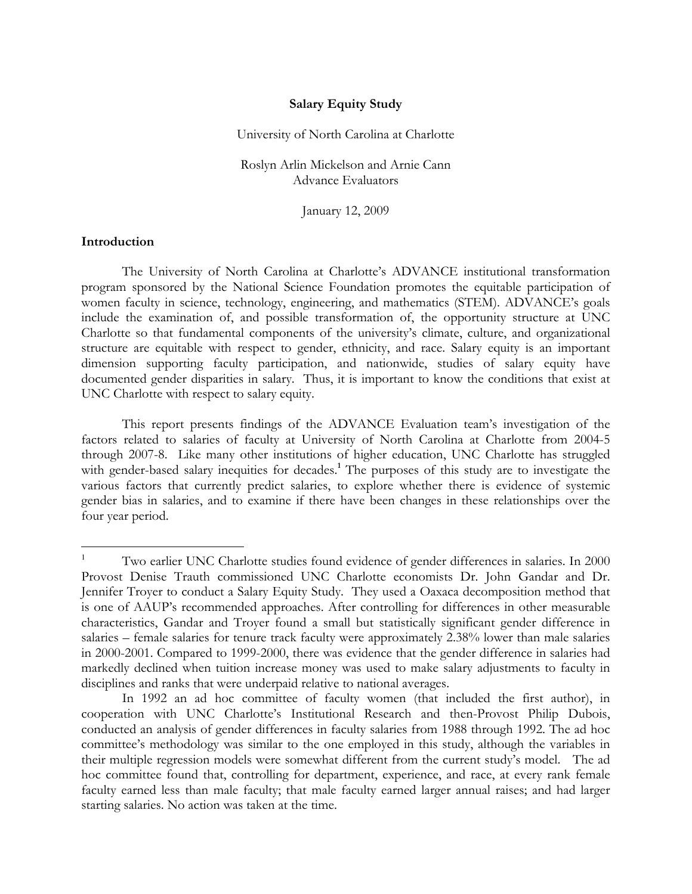#### **Salary Equity Study**

University of North Carolina at Charlotte

Roslyn Arlin Mickelson and Arnie Cann Advance Evaluators

January 12, 2009

### **Introduction**

The University of North Carolina at Charlotte's ADVANCE institutional transformation program sponsored by the National Science Foundation promotes the equitable participation of women faculty in science, technology, engineering, and mathematics (STEM). ADVANCE's goals include the examination of, and possible transformation of, the opportunity structure at UNC Charlotte so that fundamental components of the university's climate, culture, and organizational structure are equitable with respect to gender, ethnicity, and race. Salary equity is an important dimension supporting faculty participation, and nationwide, studies of salary equity have documented gender disparities in salary. Thus, it is important to know the conditions that exist at UNC Charlotte with respect to salary equity.

This report presents findings of the ADVANCE Evaluation team's investigation of the factors related to salaries of faculty at University of North Carolina at Charlotte from 2004-5 through 2007-8. Like many other institutions of higher education, UNC Charlotte has struggled with gender-based salary inequities for decades.<sup>1</sup> The purposes of this study are to investigate the various factors that currently predict salaries, to explore whether there is evidence of systemic gender bias in salaries, and to examine if there have been changes in these relationships over the four year period.

<sup>&</sup>lt;sup>1</sup> Two earlier UNC Charlotte studies found evidence of gender differences in salaries. In 2000 Provost Denise Trauth commissioned UNC Charlotte economists Dr. John Gandar and Dr. Jennifer Troyer to conduct a Salary Equity Study. They used a Oaxaca decomposition method that is one of AAUP's recommended approaches. After controlling for differences in other measurable characteristics, Gandar and Troyer found a small but statistically significant gender difference in salaries – female salaries for tenure track faculty were approximately 2.38% lower than male salaries in 2000-2001. Compared to 1999-2000, there was evidence that the gender difference in salaries had markedly declined when tuition increase money was used to make salary adjustments to faculty in disciplines and ranks that were underpaid relative to national averages.

In 1992 an ad hoc committee of faculty women (that included the first author), in cooperation with UNC Charlotte's Institutional Research and then-Provost Philip Dubois, conducted an analysis of gender differences in faculty salaries from 1988 through 1992. The ad hoc committee's methodology was similar to the one employed in this study, although the variables in their multiple regression models were somewhat different from the current study's model. The ad hoc committee found that, controlling for department, experience, and race, at every rank female faculty earned less than male faculty; that male faculty earned larger annual raises; and had larger starting salaries. No action was taken at the time.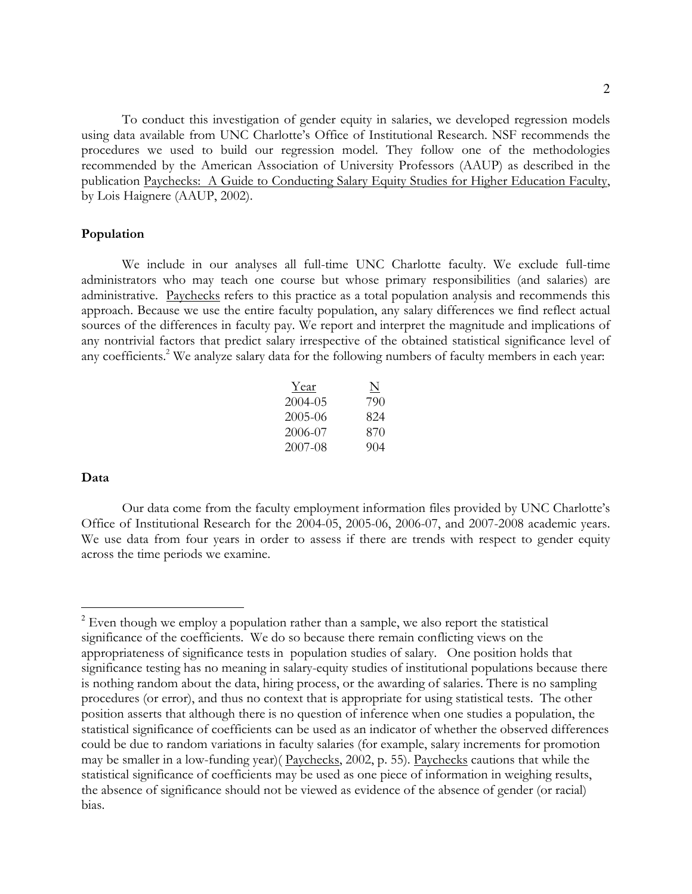To conduct this investigation of gender equity in salaries, we developed regression models using data available from UNC Charlotte's Office of Institutional Research. NSF recommends the procedures we used to build our regression model. They follow one of the methodologies recommended by the American Association of University Professors (AAUP) as described in the publication Paychecks: A Guide to Conducting Salary Equity Studies for Higher Education Faculty, by Lois Haignere (AAUP, 2002).

#### **Population**

We include in our analyses all full-time UNC Charlotte faculty. We exclude full-time administrators who may teach one course but whose primary responsibilities (and salaries) are administrative. Paychecks refers to this practice as a total population analysis and recommends this approach. Because we use the entire faculty population, any salary differences we find reflect actual sources of the differences in faculty pay. We report and interpret the magnitude and implications of any nontrivial factors that predict salary irrespective of the obtained statistical significance level of any coefficients.<sup>2</sup> We analyze salary data for the following numbers of faculty members in each year:

| Year    | N   |
|---------|-----|
| 2004-05 | 790 |
| 2005-06 | 824 |
| 2006-07 | 870 |
| 2007-08 | 904 |

### **Data**

Our data come from the faculty employment information files provided by UNC Charlotte's Office of Institutional Research for the 2004-05, 2005-06, 2006-07, and 2007-2008 academic years. We use data from four years in order to assess if there are trends with respect to gender equity across the time periods we examine.

 $2$  Even though we employ a population rather than a sample, we also report the statistical significance of the coefficients. We do so because there remain conflicting views on the appropriateness of significance tests in population studies of salary. One position holds that significance testing has no meaning in salary-equity studies of institutional populations because there is nothing random about the data, hiring process, or the awarding of salaries. There is no sampling procedures (or error), and thus no context that is appropriate for using statistical tests. The other position asserts that although there is no question of inference when one studies a population, the statistical significance of coefficients can be used as an indicator of whether the observed differences could be due to random variations in faculty salaries (for example, salary increments for promotion may be smaller in a low-funding year)( Paychecks, 2002, p. 55). Paychecks cautions that while the statistical significance of coefficients may be used as one piece of information in weighing results, the absence of significance should not be viewed as evidence of the absence of gender (or racial) bias.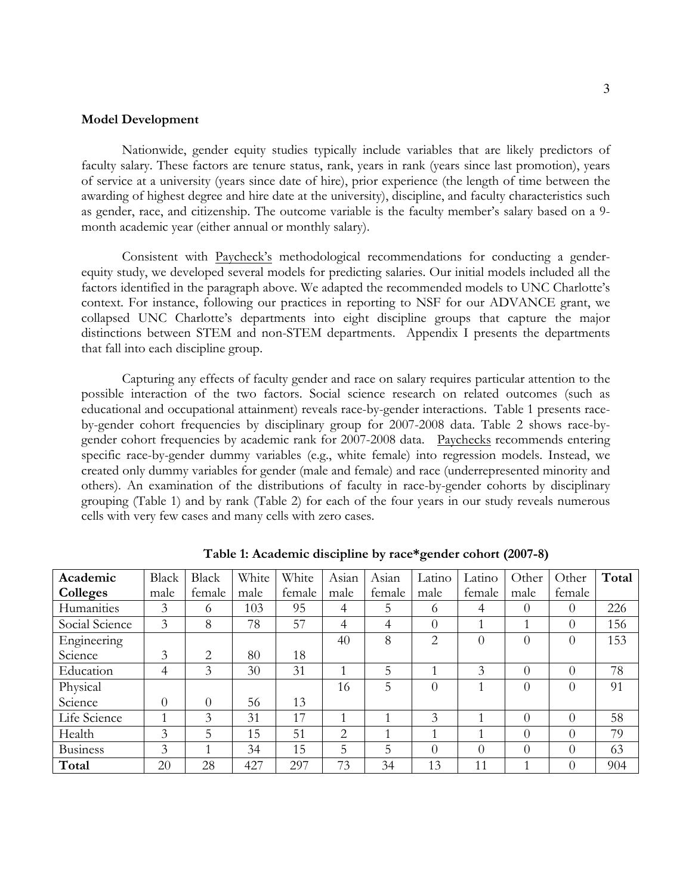#### **Model Development**

Nationwide, gender equity studies typically include variables that are likely predictors of faculty salary. These factors are tenure status, rank, years in rank (years since last promotion), years of service at a university (years since date of hire), prior experience (the length of time between the awarding of highest degree and hire date at the university), discipline, and faculty characteristics such as gender, race, and citizenship. The outcome variable is the faculty member's salary based on a 9 month academic year (either annual or monthly salary).

Consistent with Paycheck's methodological recommendations for conducting a genderequity study, we developed several models for predicting salaries. Our initial models included all the factors identified in the paragraph above. We adapted the recommended models to UNC Charlotte's context. For instance, following our practices in reporting to NSF for our ADVANCE grant, we collapsed UNC Charlotte's departments into eight discipline groups that capture the major distinctions between STEM and non-STEM departments. Appendix I presents the departments that fall into each discipline group.

Capturing any effects of faculty gender and race on salary requires particular attention to the possible interaction of the two factors. Social science research on related outcomes (such as educational and occupational attainment) reveals race-by-gender interactions. Table 1 presents raceby-gender cohort frequencies by disciplinary group for 2007-2008 data. Table 2 shows race-bygender cohort frequencies by academic rank for 2007-2008 data. Paychecks recommends entering specific race-by-gender dummy variables (e.g., white female) into regression models. Instead, we created only dummy variables for gender (male and female) and race (underrepresented minority and others). An examination of the distributions of faculty in race-by-gender cohorts by disciplinary grouping (Table 1) and by rank (Table 2) for each of the four years in our study reveals numerous cells with very few cases and many cells with zero cases.

| Academic        | Black    | <b>Black</b> | White | White  | Asian          | Asian  | Latino        | Latino   | Other    | Other    | Total |
|-----------------|----------|--------------|-------|--------|----------------|--------|---------------|----------|----------|----------|-------|
| Colleges        | male     | female       | male  | female | male           | female | male          | female   | male     | female   |       |
| Humanities      | 3        | 6            | 103   | 95     | 4              | 5      | 6             | 4        | $\Omega$ | $\theta$ | 226   |
| Social Science  | 3        | 8            | 78    | 57     | 4              | 4      | $\Omega$      |          |          | $\theta$ | 156   |
| Engineering     |          |              |       |        | 40             | 8      | 2             | $\Omega$ | $\Omega$ | $\theta$ | 153   |
| Science         | 3        | 2            | 80    | 18     |                |        |               |          |          |          |       |
| Education       | 4        | 3            | 30    | 31     |                | 5      |               | 3        | $\theta$ | $\theta$ | 78    |
| Physical        |          |              |       |        | 16             | 5      | $\Omega$      |          | $\Omega$ | $\theta$ | 91    |
| Science         | $\theta$ | $\theta$     | 56    | 13     |                |        |               |          |          |          |       |
| Life Science    |          | 3            | 31    | 17     |                |        | $\mathcal{E}$ |          | $\Omega$ | $\theta$ | 58    |
| Health          | 3        | 5            | 15    | 51     | 2              |        | 1             |          | $\Omega$ | $\theta$ | 79    |
| <b>Business</b> | 3        |              | 34    | 15     | $\overline{5}$ | 5      | $\Omega$      | $\Omega$ | $\Omega$ | $\theta$ | 63    |
| Total           | 20       | 28           | 427   | 297    | 73             | 34     | 13            | 11       |          | $\theta$ | 904   |

**Table 1: Academic discipline by race\*gender cohort (2007-8)**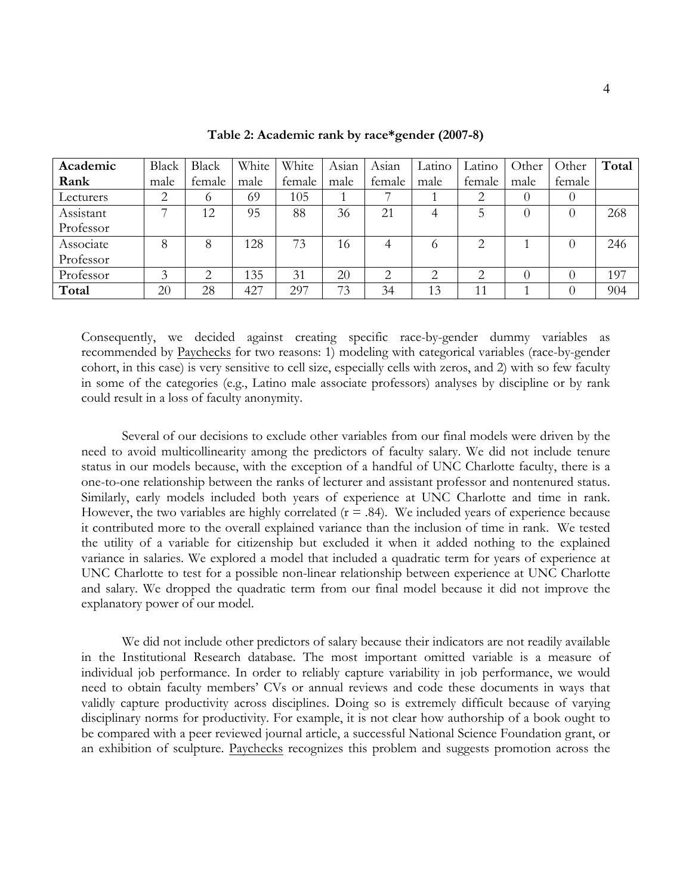| Academic  | Black | <b>Black</b> | White | White  | Asian | Asian         | Latino | Latino         | Other    | Other            | Total |
|-----------|-------|--------------|-------|--------|-------|---------------|--------|----------------|----------|------------------|-------|
| Rank      | male  | female       | male  | female | male  | female        | male   | female         | male     | female           |       |
| Lecturers | 2     | 6            | 69    | 105    |       |               |        |                | $\theta$ | $\theta$         |       |
| Assistant | ⇁     | 12           | 95    | 88     | 36    | 21            | 4      |                | $_{0}$   | $\theta$         | 268   |
| Professor |       |              |       |        |       |               |        |                |          |                  |       |
| Associate | 8     | 8            | 128   | 73     | 16    | 4             |        | 2              |          | $\theta$         | 246   |
| Professor |       |              |       |        |       |               |        |                |          |                  |       |
| Professor | 3     | 2            | 135   | 31     | 20    | $\mathcal{D}$ | ⌒      | ◠              |          | $\left( \right)$ | 197   |
| Total     | 20    | 28           | 427   | 297    | 73    | 34            | 13     | $\overline{1}$ |          | $\left( \right)$ | 904   |

**Table 2: Academic rank by race\*gender (2007-8)**

Consequently, we decided against creating specific race-by-gender dummy variables as recommended by Paychecks for two reasons: 1) modeling with categorical variables (race-by-gender cohort, in this case) is very sensitive to cell size, especially cells with zeros, and 2) with so few faculty in some of the categories (e.g., Latino male associate professors) analyses by discipline or by rank could result in a loss of faculty anonymity.

Several of our decisions to exclude other variables from our final models were driven by the need to avoid multicollinearity among the predictors of faculty salary. We did not include tenure status in our models because, with the exception of a handful of UNC Charlotte faculty, there is a one-to-one relationship between the ranks of lecturer and assistant professor and nontenured status. Similarly, early models included both years of experience at UNC Charlotte and time in rank. However, the two variables are highly correlated  $(r = .84)$ . We included years of experience because it contributed more to the overall explained variance than the inclusion of time in rank. We tested the utility of a variable for citizenship but excluded it when it added nothing to the explained variance in salaries. We explored a model that included a quadratic term for years of experience at UNC Charlotte to test for a possible non-linear relationship between experience at UNC Charlotte and salary. We dropped the quadratic term from our final model because it did not improve the explanatory power of our model.

We did not include other predictors of salary because their indicators are not readily available in the Institutional Research database. The most important omitted variable is a measure of individual job performance. In order to reliably capture variability in job performance, we would need to obtain faculty members' CVs or annual reviews and code these documents in ways that validly capture productivity across disciplines. Doing so is extremely difficult because of varying disciplinary norms for productivity. For example, it is not clear how authorship of a book ought to be compared with a peer reviewed journal article, a successful National Science Foundation grant, or an exhibition of sculpture. Paychecks recognizes this problem and suggests promotion across the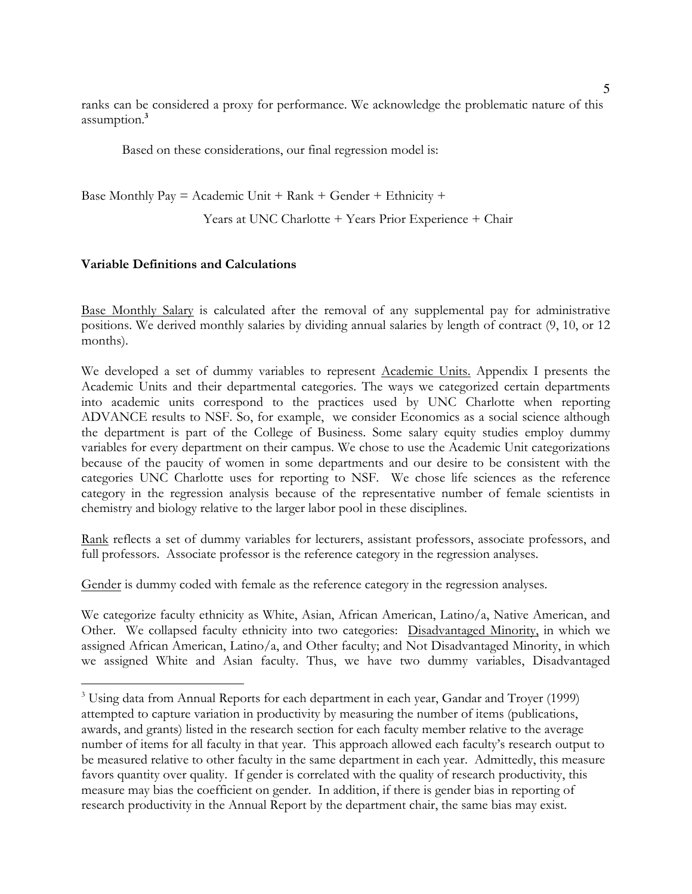ranks can be considered a proxy for performance. We acknowledge the problematic nature of this assumption.**<sup>3</sup>**

Based on these considerations, our final regression model is:

Base Monthly  $Pay = Academic Unit + Rank + Gender + Ethnicity +$ 

Years at UNC Charlotte + Years Prior Experience + Chair

## **Variable Definitions and Calculations**

 $\overline{a}$ 

Base Monthly Salary is calculated after the removal of any supplemental pay for administrative positions. We derived monthly salaries by dividing annual salaries by length of contract (9, 10, or 12 months).

We developed a set of dummy variables to represent Academic Units. Appendix I presents the Academic Units and their departmental categories. The ways we categorized certain departments into academic units correspond to the practices used by UNC Charlotte when reporting ADVANCE results to NSF. So, for example, we consider Economics as a social science although the department is part of the College of Business. Some salary equity studies employ dummy variables for every department on their campus. We chose to use the Academic Unit categorizations because of the paucity of women in some departments and our desire to be consistent with the categories UNC Charlotte uses for reporting to NSF. We chose life sciences as the reference category in the regression analysis because of the representative number of female scientists in chemistry and biology relative to the larger labor pool in these disciplines.

Rank reflects a set of dummy variables for lecturers, assistant professors, associate professors, and full professors. Associate professor is the reference category in the regression analyses.

Gender is dummy coded with female as the reference category in the regression analyses.

We categorize faculty ethnicity as White, Asian, African American, Latino/a, Native American, and Other. We collapsed faculty ethnicity into two categories: Disadvantaged Minority, in which we assigned African American, Latino/a, and Other faculty; and Not Disadvantaged Minority, in which we assigned White and Asian faculty. Thus, we have two dummy variables, Disadvantaged

 $3$  Using data from Annual Reports for each department in each year, Gandar and Troyer (1999) attempted to capture variation in productivity by measuring the number of items (publications, awards, and grants) listed in the research section for each faculty member relative to the average number of items for all faculty in that year. This approach allowed each faculty's research output to be measured relative to other faculty in the same department in each year. Admittedly, this measure favors quantity over quality. If gender is correlated with the quality of research productivity, this measure may bias the coefficient on gender. In addition, if there is gender bias in reporting of research productivity in the Annual Report by the department chair, the same bias may exist.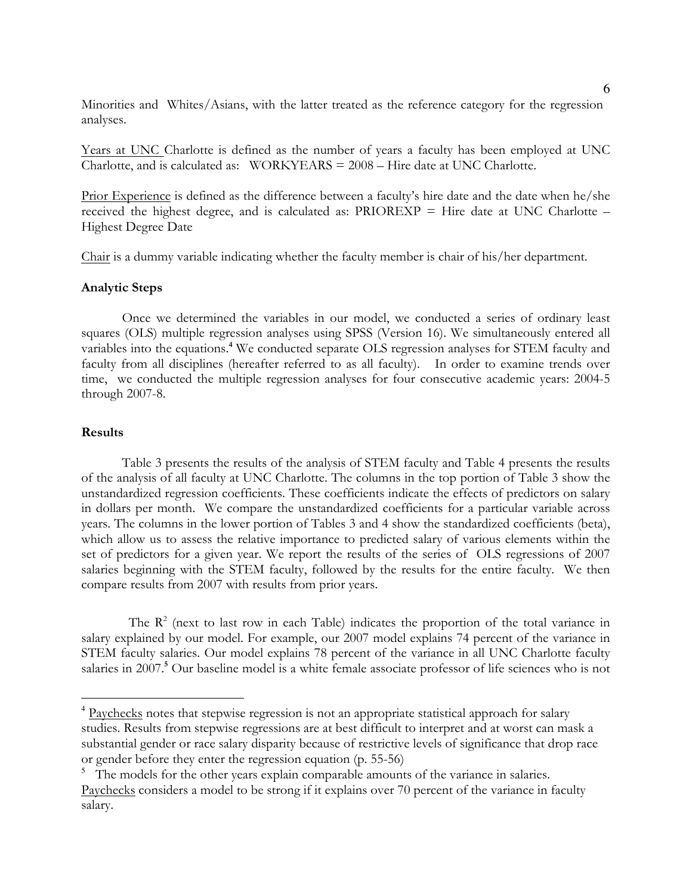Minorities and Whites/Asians, with the latter treated as the reference category for the regression analyses.

Years at UNC Charlotte is defined as the number of years a faculty has been employed at UNC Charlotte, and is calculated as: WORKYEARS = 2008 – Hire date at UNC Charlotte.

Prior Experience is defined as the difference between a faculty's hire date and the date when he/she received the highest degree, and is calculated as:  $PRIOREXP = Hire$  date at UNC Charlotte – Highest Degree Date

Chair is a dummy variable indicating whether the faculty member is chair of his/her department.

#### **Analytic Steps**

Once we determined the variables in our model, we conducted a series of ordinary least squares (OLS) multiple regression analyses using SPSS (Version 16). We simultaneously entered all variables into the equations. **<sup>4</sup>** We conducted separate OLS regression analyses for STEM faculty and faculty from all disciplines (hereafter referred to as all faculty). In order to examine trends over time, we conducted the multiple regression analyses for four consecutive academic years: 2004-5 through 2007-8.

#### **Results**

Table 3 presents the results of the analysis of STEM faculty and Table 4 presents the results of the analysis of all faculty at UNC Charlotte. The columns in the top portion of Table 3 show the unstandardized regression coefficients. These coefficients indicate the effects of predictors on salary in dollars per month. We compare the unstandardized coefficients for a particular variable across years. The columns in the lower portion of Tables 3 and 4 show the standardized coefficients (beta), which allow us to assess the relative importance to predicted salary of various elements within the set of predictors for a given year. We report the results of the series of OLS regressions of 2007 salaries beginning with the STEM faculty, followed by the results for the entire faculty. We then compare results from 2007 with results from prior years.

The  $R^2$  (next to last row in each Table) indicates the proportion of the total variance in salary explained by our model. For example, our 2007 model explains 74 percent of the variance in STEM faculty salaries. Our model explains 78 percent of the variance in all UNC Charlotte faculty salaries in 2007.<sup>5</sup> Our baseline model is a white female associate professor of life sciences who is not

<sup>&</sup>lt;sup>4</sup> Paychecks notes that stepwise regression is not an appropriate statistical approach for salary studies. Results from stepwise regressions are at best difficult to interpret and at worst can mask a substantial gender or race salary disparity because of restrictive levels of significance that drop race or gender before they enter the regression equation (p. 55-56)

<sup>&</sup>lt;sup>5</sup> The models for the other years explain comparable amounts of the variance in salaries. Paychecks considers a model to be strong if it explains over 70 percent of the variance in faculty salary.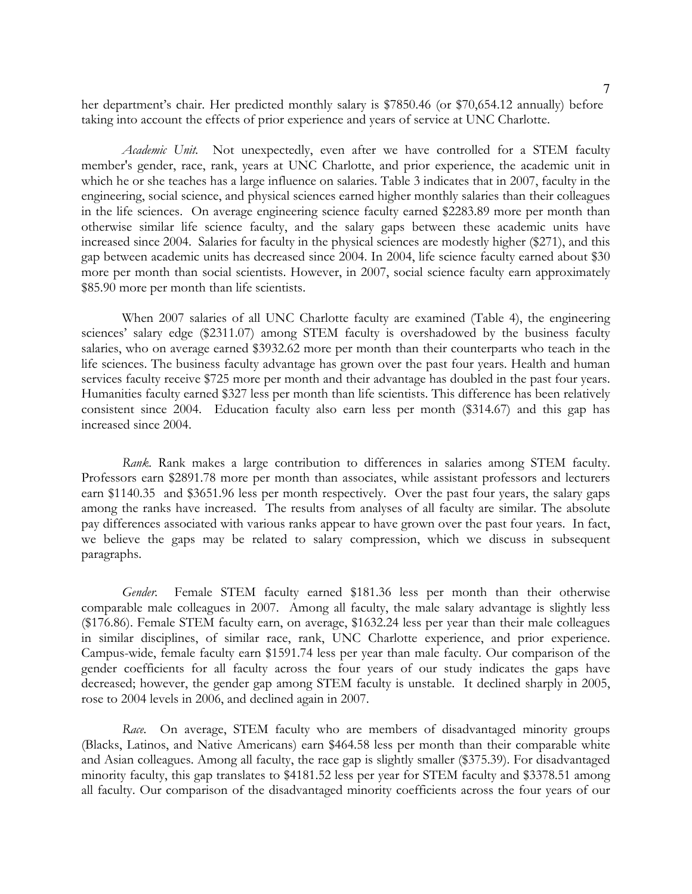her department's chair. Her predicted monthly salary is \$7850.46 (or \$70,654.12 annually) before taking into account the effects of prior experience and years of service at UNC Charlotte.

*Academic Unit.* Not unexpectedly, even after we have controlled for a STEM faculty member's gender, race, rank, years at UNC Charlotte, and prior experience, the academic unit in which he or she teaches has a large influence on salaries. Table 3 indicates that in 2007, faculty in the engineering, social science, and physical sciences earned higher monthly salaries than their colleagues in the life sciences. On average engineering science faculty earned \$2283.89 more per month than otherwise similar life science faculty, and the salary gaps between these academic units have increased since 2004. Salaries for faculty in the physical sciences are modestly higher (\$271), and this gap between academic units has decreased since 2004. In 2004, life science faculty earned about \$30 more per month than social scientists. However, in 2007, social science faculty earn approximately \$85.90 more per month than life scientists.

When 2007 salaries of all UNC Charlotte faculty are examined (Table 4), the engineering sciences' salary edge (\$2311.07) among STEM faculty is overshadowed by the business faculty salaries, who on average earned \$3932.62 more per month than their counterparts who teach in the life sciences. The business faculty advantage has grown over the past four years. Health and human services faculty receive \$725 more per month and their advantage has doubled in the past four years. Humanities faculty earned \$327 less per month than life scientists. This difference has been relatively consistent since 2004. Education faculty also earn less per month (\$314.67) and this gap has increased since 2004.

*Rank.* Rank makes a large contribution to differences in salaries among STEM faculty. Professors earn \$2891.78 more per month than associates, while assistant professors and lecturers earn \$1140.35 and \$3651.96 less per month respectively. Over the past four years, the salary gaps among the ranks have increased. The results from analyses of all faculty are similar. The absolute pay differences associated with various ranks appear to have grown over the past four years. In fact, we believe the gaps may be related to salary compression, which we discuss in subsequent paragraphs.

*Gender.* Female STEM faculty earned \$181.36 less per month than their otherwise comparable male colleagues in 2007. Among all faculty, the male salary advantage is slightly less (\$176.86). Female STEM faculty earn, on average, \$1632.24 less per year than their male colleagues in similar disciplines, of similar race, rank, UNC Charlotte experience, and prior experience. Campus-wide, female faculty earn \$1591.74 less per year than male faculty. Our comparison of the gender coefficients for all faculty across the four years of our study indicates the gaps have decreased; however, the gender gap among STEM faculty is unstable. It declined sharply in 2005, rose to 2004 levels in 2006, and declined again in 2007.

*Race.* On average, STEM faculty who are members of disadvantaged minority groups (Blacks, Latinos, and Native Americans) earn \$464.58 less per month than their comparable white and Asian colleagues. Among all faculty, the race gap is slightly smaller (\$375.39). For disadvantaged minority faculty, this gap translates to \$4181.52 less per year for STEM faculty and \$3378.51 among all faculty. Our comparison of the disadvantaged minority coefficients across the four years of our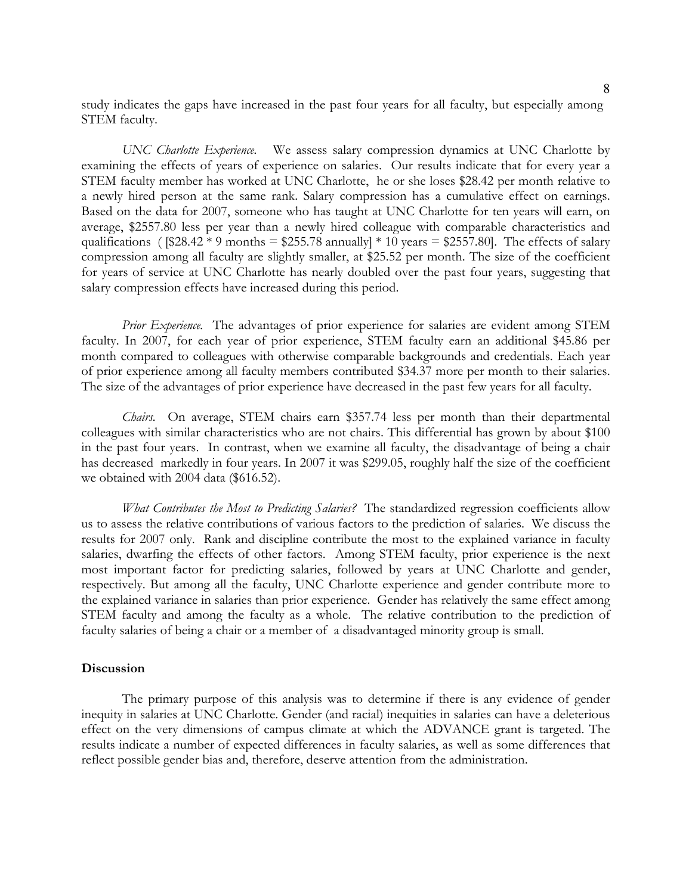study indicates the gaps have increased in the past four years for all faculty, but especially among STEM faculty.

*UNC Charlotte Experience.* We assess salary compression dynamics at UNC Charlotte by examining the effects of years of experience on salaries. Our results indicate that for every year a STEM faculty member has worked at UNC Charlotte, he or she loses \$28.42 per month relative to a newly hired person at the same rank. Salary compression has a cumulative effect on earnings. Based on the data for 2007, someone who has taught at UNC Charlotte for ten years will earn, on average, \$2557.80 less per year than a newly hired colleague with comparable characteristics and qualifications (  $$28.42 * 9$  months = \$255.78 annually] \* 10 years = \$2557.80]. The effects of salary compression among all faculty are slightly smaller, at \$25.52 per month. The size of the coefficient for years of service at UNC Charlotte has nearly doubled over the past four years, suggesting that salary compression effects have increased during this period.

*Prior Experience.* The advantages of prior experience for salaries are evident among STEM faculty. In 2007, for each year of prior experience, STEM faculty earn an additional \$45.86 per month compared to colleagues with otherwise comparable backgrounds and credentials. Each year of prior experience among all faculty members contributed \$34.37 more per month to their salaries. The size of the advantages of prior experience have decreased in the past few years for all faculty.

*Chairs.* On average, STEM chairs earn \$357.74 less per month than their departmental colleagues with similar characteristics who are not chairs. This differential has grown by about \$100 in the past four years. In contrast, when we examine all faculty, the disadvantage of being a chair has decreased markedly in four years. In 2007 it was \$299.05, roughly half the size of the coefficient we obtained with 2004 data (\$616.52).

*What Contributes the Most to Predicting Salaries?* The standardized regression coefficients allow us to assess the relative contributions of various factors to the prediction of salaries. We discuss the results for 2007 only. Rank and discipline contribute the most to the explained variance in faculty salaries, dwarfing the effects of other factors. Among STEM faculty, prior experience is the next most important factor for predicting salaries, followed by years at UNC Charlotte and gender, respectively. But among all the faculty, UNC Charlotte experience and gender contribute more to the explained variance in salaries than prior experience. Gender has relatively the same effect among STEM faculty and among the faculty as a whole. The relative contribution to the prediction of faculty salaries of being a chair or a member of a disadvantaged minority group is small.

#### **Discussion**

The primary purpose of this analysis was to determine if there is any evidence of gender inequity in salaries at UNC Charlotte. Gender (and racial) inequities in salaries can have a deleterious effect on the very dimensions of campus climate at which the ADVANCE grant is targeted. The results indicate a number of expected differences in faculty salaries, as well as some differences that reflect possible gender bias and, therefore, deserve attention from the administration.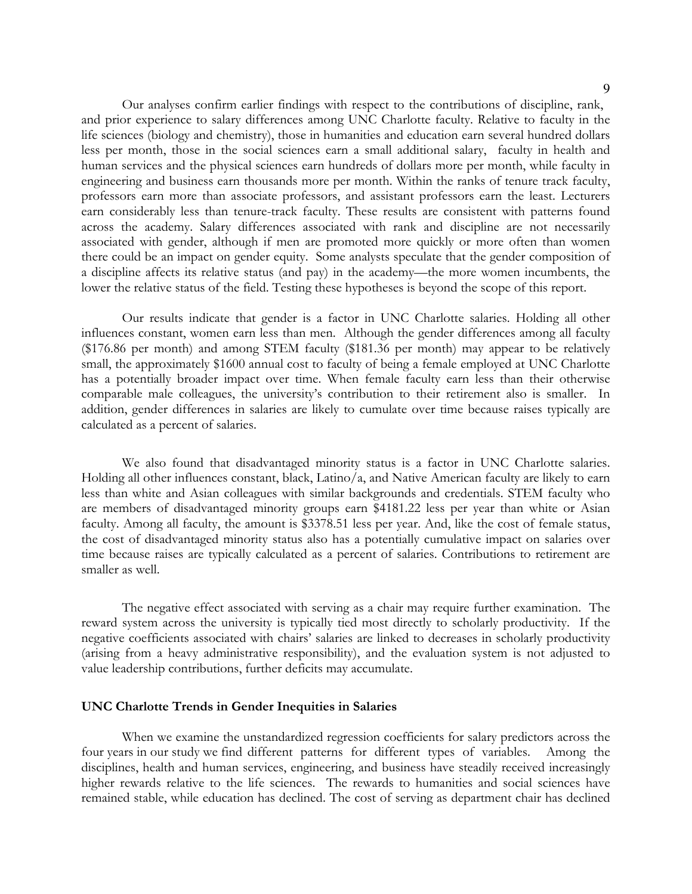9

Our analyses confirm earlier findings with respect to the contributions of discipline, rank, and prior experience to salary differences among UNC Charlotte faculty. Relative to faculty in the life sciences (biology and chemistry), those in humanities and education earn several hundred dollars less per month, those in the social sciences earn a small additional salary, faculty in health and human services and the physical sciences earn hundreds of dollars more per month, while faculty in engineering and business earn thousands more per month. Within the ranks of tenure track faculty, professors earn more than associate professors, and assistant professors earn the least. Lecturers earn considerably less than tenure-track faculty. These results are consistent with patterns found across the academy. Salary differences associated with rank and discipline are not necessarily associated with gender, although if men are promoted more quickly or more often than women there could be an impact on gender equity. Some analysts speculate that the gender composition of a discipline affects its relative status (and pay) in the academy—the more women incumbents, the lower the relative status of the field. Testing these hypotheses is beyond the scope of this report.

Our results indicate that gender is a factor in UNC Charlotte salaries. Holding all other influences constant, women earn less than men. Although the gender differences among all faculty (\$176.86 per month) and among STEM faculty (\$181.36 per month) may appear to be relatively small, the approximately \$1600 annual cost to faculty of being a female employed at UNC Charlotte has a potentially broader impact over time. When female faculty earn less than their otherwise comparable male colleagues, the university's contribution to their retirement also is smaller. In addition, gender differences in salaries are likely to cumulate over time because raises typically are calculated as a percent of salaries.

We also found that disadvantaged minority status is a factor in UNC Charlotte salaries. Holding all other influences constant, black, Latino/a, and Native American faculty are likely to earn less than white and Asian colleagues with similar backgrounds and credentials. STEM faculty who are members of disadvantaged minority groups earn \$4181.22 less per year than white or Asian faculty. Among all faculty, the amount is \$3378.51 less per year. And, like the cost of female status, the cost of disadvantaged minority status also has a potentially cumulative impact on salaries over time because raises are typically calculated as a percent of salaries. Contributions to retirement are smaller as well.

The negative effect associated with serving as a chair may require further examination. The reward system across the university is typically tied most directly to scholarly productivity. If the negative coefficients associated with chairs' salaries are linked to decreases in scholarly productivity (arising from a heavy administrative responsibility), and the evaluation system is not adjusted to value leadership contributions, further deficits may accumulate.

#### **UNC Charlotte Trends in Gender Inequities in Salaries**

When we examine the unstandardized regression coefficients for salary predictors across the four years in our study we find different patterns for different types of variables. Among the disciplines, health and human services, engineering, and business have steadily received increasingly higher rewards relative to the life sciences. The rewards to humanities and social sciences have remained stable, while education has declined. The cost of serving as department chair has declined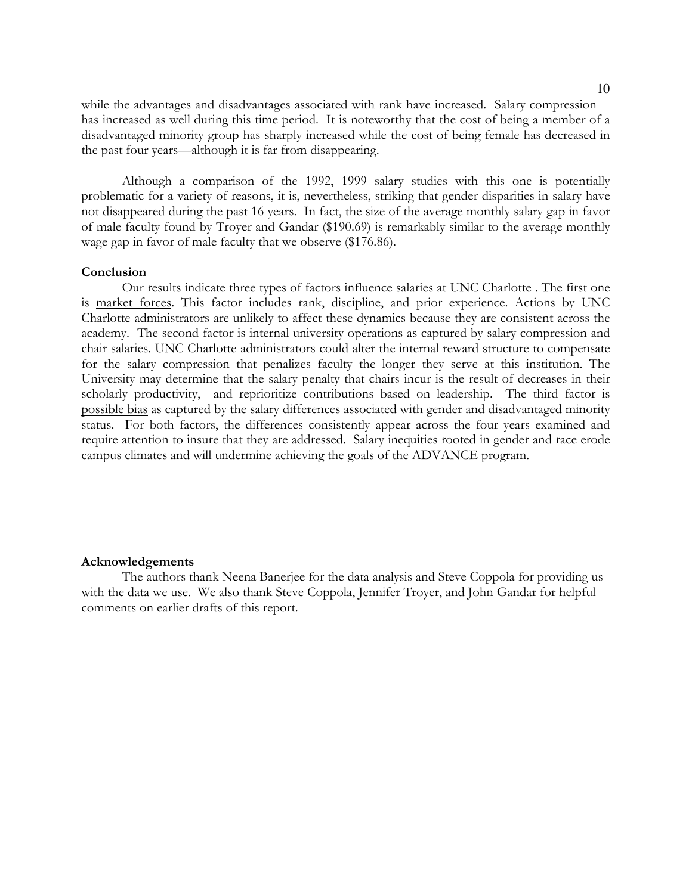while the advantages and disadvantages associated with rank have increased. Salary compression has increased as well during this time period. It is noteworthy that the cost of being a member of a disadvantaged minority group has sharply increased while the cost of being female has decreased in the past four years—although it is far from disappearing.

Although a comparison of the 1992, 1999 salary studies with this one is potentially problematic for a variety of reasons, it is, nevertheless, striking that gender disparities in salary have not disappeared during the past 16 years. In fact, the size of the average monthly salary gap in favor of male faculty found by Troyer and Gandar (\$190.69) is remarkably similar to the average monthly wage gap in favor of male faculty that we observe (\$176.86).

#### **Conclusion**

Our results indicate three types of factors influence salaries at UNC Charlotte . The first one is market forces. This factor includes rank, discipline, and prior experience. Actions by UNC Charlotte administrators are unlikely to affect these dynamics because they are consistent across the academy. The second factor is internal university operations as captured by salary compression and chair salaries. UNC Charlotte administrators could alter the internal reward structure to compensate for the salary compression that penalizes faculty the longer they serve at this institution. The University may determine that the salary penalty that chairs incur is the result of decreases in their scholarly productivity, and reprioritize contributions based on leadership. The third factor is possible bias as captured by the salary differences associated with gender and disadvantaged minority status. For both factors, the differences consistently appear across the four years examined and require attention to insure that they are addressed. Salary inequities rooted in gender and race erode campus climates and will undermine achieving the goals of the ADVANCE program.

#### **Acknowledgements**

The authors thank Neena Banerjee for the data analysis and Steve Coppola for providing us with the data we use. We also thank Steve Coppola, Jennifer Troyer, and John Gandar for helpful comments on earlier drafts of this report.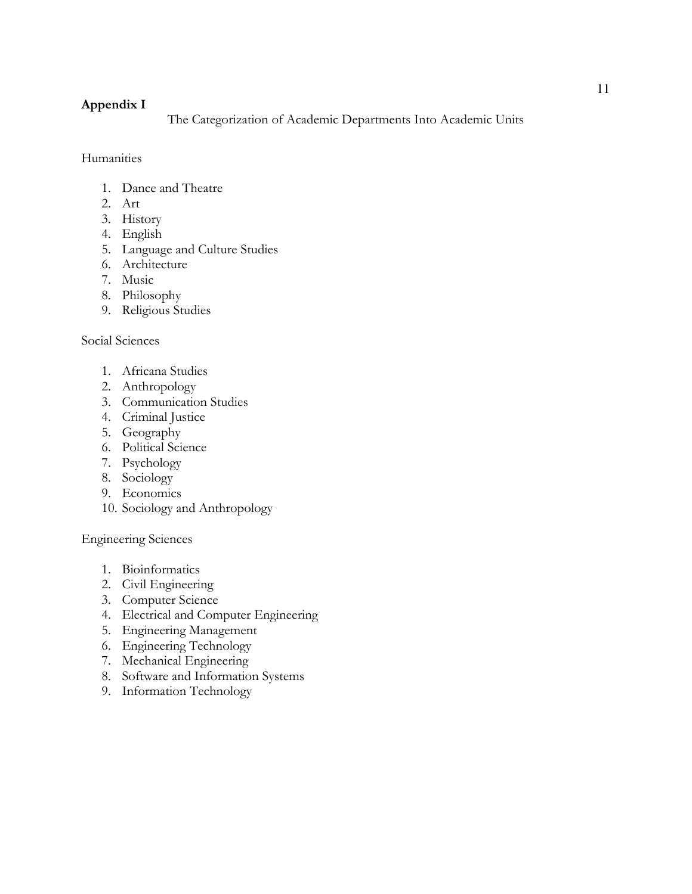## **Appendix I**

The Categorization of Academic Departments Into Academic Units

Humanities

- 1. Dance and Theatre
- 2. Art
- 3. History
- 4. English
- 5. Language and Culture Studies
- 6. Architecture
- 7. Music
- 8. Philosophy
- 9. Religious Studies

## Social Sciences

- 1. Africana Studies
- 2. Anthropology
- 3. Communication Studies
- 4. Criminal Justice
- 5. Geography
- 6. Political Science
- 7. Psychology
- 8. Sociology
- 9. Economics
- 10. Sociology and Anthropology

Engineering Sciences

- 1. Bioinformatics
- 2. Civil Engineering
- 3. Computer Science
- 4. Electrical and Computer Engineering
- 5. Engineering Management
- 6. Engineering Technology
- 7. Mechanical Engineering
- 8. Software and Information Systems
- 9. Information Technology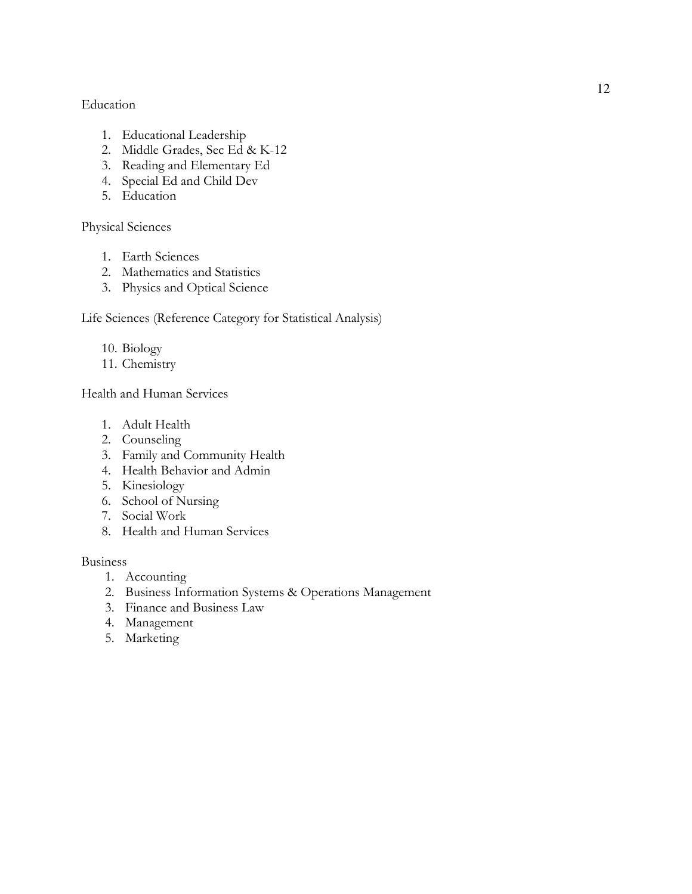## Education

- 1. Educational Leadership
- 2. Middle Grades, Sec Ed & K-12
- 3. Reading and Elementary Ed
- 4. Special Ed and Child Dev
- 5. Education

## Physical Sciences

- 1. Earth Sciences
- 2. Mathematics and Statistics
- 3. Physics and Optical Science

Life Sciences (Reference Category for Statistical Analysis)

- 10. Biology
- 11. Chemistry

Health and Human Services

- 1. Adult Health
- 2. Counseling
- 3. Family and Community Health
- 4. Health Behavior and Admin
- 5. Kinesiology
- 6. School of Nursing
- 7. Social Work
- 8. Health and Human Services

## Business

- 1. Accounting
- 2. Business Information Systems & Operations Management
- 3. Finance and Business Law
- 4. Management
- 5. Marketing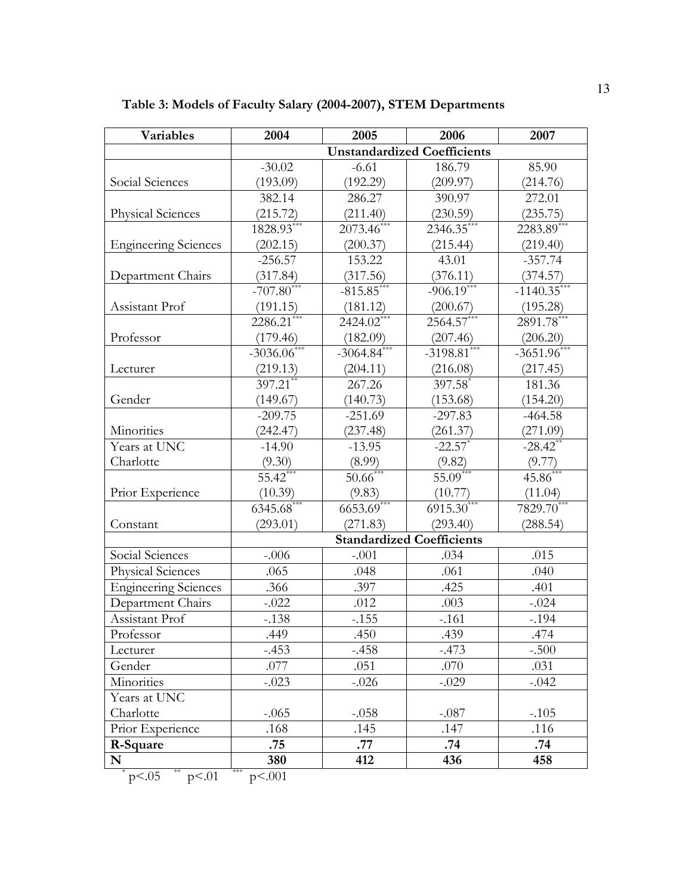| <b>Variables</b>            | 2004                               | 2005          | 2006                             | 2007          |  |  |
|-----------------------------|------------------------------------|---------------|----------------------------------|---------------|--|--|
|                             | <b>Unstandardized Coefficients</b> |               |                                  |               |  |  |
|                             | $-30.02$                           | $-6.61$       | 186.79                           | 85.90         |  |  |
| Social Sciences             | (193.09)                           | (192.29)      | (209.97)                         | (214.76)      |  |  |
|                             | 382.14                             | 286.27        | 390.97                           | 272.01        |  |  |
| <b>Physical Sciences</b>    | (215.72)                           | (211.40)      | (230.59)                         | (235.75)      |  |  |
|                             | 1828.93***                         | $2073.46$ **  | 2346.35**                        | 2283.89**     |  |  |
| <b>Engineering Sciences</b> | (202.15)                           | (200.37)      | (215.44)                         | (219.40)      |  |  |
|                             | $-256.57$                          | 153.22        | 43.01                            | $-357.74$     |  |  |
| Department Chairs           | (317.84)                           | (317.56)      | (376.11)                         | (374.57)      |  |  |
|                             | $-707.80$ <sup>*</sup>             | $-815.85$ *   | $-906.19***$                     | $-1140.35$    |  |  |
| Assistant Prof              | (191.15)                           | (181.12)      | (200.67)                         | (195.28)      |  |  |
|                             | 2286.21                            | 2424.02*      | 2564.57*                         | $2891.78$ **  |  |  |
| Professor                   | (179.46)                           | (182.09)      | (207.46)                         | (206.20)      |  |  |
|                             | $-3036.06$ ***                     | $-3064.84***$ | $-3198.81***$                    | $-3651.96$ ** |  |  |
| Lecturer                    | (219.13)                           | (204.11)      | (216.08)                         | (217.45)      |  |  |
|                             | $397.21$ **                        | 267.26        | 397.58*                          | 181.36        |  |  |
| Gender                      | (149.67)                           | (140.73)      | (153.68)                         | (154.20)      |  |  |
|                             | $-209.75$                          | $-251.69$     | $-297.83$                        | $-464.58$     |  |  |
| Minorities                  | (242.47)                           | (237.48)      | (261.37)                         | (271.09)      |  |  |
| Years at UNC                | $-14.90$                           | $-13.95$      | $-22.57$ *                       | $-28.42$ **   |  |  |
| Charlotte                   | (9.30)                             | (8.99)        | (9.82)                           | (9.77)        |  |  |
|                             | $55.42***$                         | 50.66         | $55.09***$                       | $45.86***$    |  |  |
| Prior Experience            | (10.39)                            | (9.83)        | (10.77)                          | (11.04)       |  |  |
|                             | $6345.\overline{68}^{***}$         | $6653.69***$  | $6915.30***$                     | $7829.70***$  |  |  |
| Constant                    | (293.01)                           | (271.83)      | (293.40)                         | (288.54)      |  |  |
|                             |                                    |               | <b>Standardized Coefficients</b> |               |  |  |
| Social Sciences             | $-.006$                            | $-.001$       | .034                             | .015          |  |  |
| <b>Physical Sciences</b>    | .065                               | .048          | .061                             | .040          |  |  |
| <b>Engineering Sciences</b> | .366                               | .397          | .425                             | .401          |  |  |
| Department Chairs           | $-.022$                            | .012          | .003                             | $-.024$       |  |  |
| Assistant Prof              | $-.138$                            | $-.155$       | $-.161$                          | $-.194$       |  |  |
| Professor                   | .449                               | .450          | .439                             | .474          |  |  |
| Lecturer                    | $-.453$                            | $-.458$       | $-.473$                          | $-.500$       |  |  |
| Gender                      | .077                               | .051          | .070                             | .031          |  |  |
| Minorities                  | $-.023$                            | $-.026$       | $-.029$                          | $-.042$       |  |  |
| Years at UNC                |                                    |               |                                  |               |  |  |
| Charlotte                   | $-.065$                            | $-.058$       | $-.087$                          | $-.105$       |  |  |
| Prior Experience            | .168                               | .145          | .147                             | .116          |  |  |
| R-Square                    | .75                                | .77           | .74                              | .74           |  |  |
| N                           | 380                                | 412           | 436                              | 458           |  |  |
| p<0.05<br>p<.01             | ***<br>p<.001                      |               |                                  |               |  |  |

**Table 3: Models of Faculty Salary (2004-2007), STEM Departments**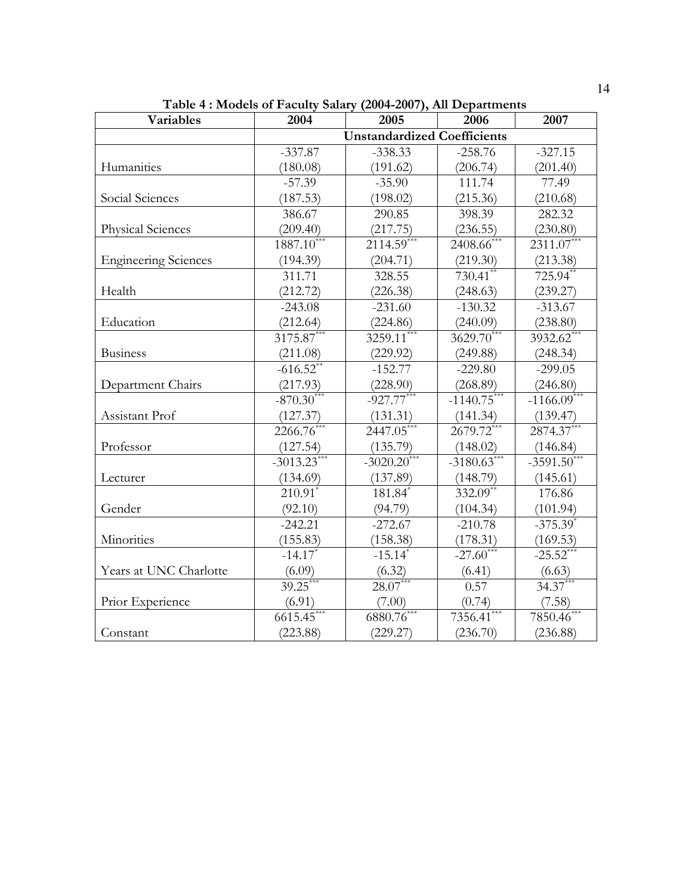| <b>Variables</b>            | 2004                               | 2005                       | 2006                    | 2007                   |  |  |  |  |
|-----------------------------|------------------------------------|----------------------------|-------------------------|------------------------|--|--|--|--|
|                             | <b>Unstandardized Coefficients</b> |                            |                         |                        |  |  |  |  |
|                             | $-337.87$                          | $-338.33$                  | $-258.76$               | $-327.15$              |  |  |  |  |
| Humanities                  | (180.08)                           | (191.62)                   | (206.74)                | (201.40)               |  |  |  |  |
|                             | $-57.39$                           | $-35.90$                   | 111.74                  | 77.49                  |  |  |  |  |
| Social Sciences             | (187.53)                           | (198.02)                   | (215.36)                | (210.68)               |  |  |  |  |
|                             | 386.67                             | 290.85                     | 398.39                  | 282.32                 |  |  |  |  |
| <b>Physical Sciences</b>    | (209.40)                           | (217.75)                   | (236.55)                | (230.80)               |  |  |  |  |
|                             | $1887.10***$                       | $21\overline{14.59}^{***}$ | $2408.66$ ***           | $2311.07***$           |  |  |  |  |
| <b>Engineering Sciences</b> | (194.39)                           | (204.71)                   | (219.30)                | (213.38)               |  |  |  |  |
|                             | 311.71                             | 328.55                     | $730.41$ **             | 725.94**               |  |  |  |  |
| Health                      | (212.72)                           | (226.38)                   | (248.63)                | (239.27)               |  |  |  |  |
|                             | $-243.08$                          | $-231.60$                  | $-130.32$               | $-313.67$              |  |  |  |  |
| Education                   | (212.64)                           | (224.86)                   | (240.09)                | (238.80)               |  |  |  |  |
|                             | $3175.87***$                       | $3259.11***$               | $3629.70***$            | 3932.62*               |  |  |  |  |
| <b>Business</b>             | (211.08)                           | (229.92)                   | (249.88)                | (248.34)               |  |  |  |  |
|                             | $-616.52**$                        | $-152.77$                  | $-229.80$               | $-299.05$              |  |  |  |  |
| Department Chairs           | (217.93)                           | (228.90)                   | (268.89)                | (246.80)               |  |  |  |  |
|                             | $-870.30***$                       | $-927.77***$               | $-1140.75***$           | $-1166.09***$          |  |  |  |  |
| Assistant Prof              | (127.37)                           | (131.31)                   | (141.34)                | (139.47)               |  |  |  |  |
|                             | 2266.76*                           | $2447.05^{**}$             | $2679.72$ <sup>**</sup> | 2874.37*               |  |  |  |  |
| Professor                   | (127.54)                           | (135.79)                   | (148.02)                | (146.84)               |  |  |  |  |
|                             | $-3013.23***$                      | $-3020.20***$              | $-3180.63***$           | $-3591.50^{***}$       |  |  |  |  |
| Lecturer                    | (134.69)                           | (137.89)                   | (148.79)                | (145.61)               |  |  |  |  |
|                             | $210.91$ <sup>*</sup>              | $181.84$ <sup>*</sup>      | $332.09**$              | 176.86                 |  |  |  |  |
| Gender                      | (92.10)                            | (94.79)                    | (104.34)                | (101.94)               |  |  |  |  |
|                             | $-242.21$                          | $-272.67$                  | $-210.78$               | $-375.39$ <sup>*</sup> |  |  |  |  |
| Minorities                  | (155.83)                           | (158.38)                   | (178.31)                | (169.53)               |  |  |  |  |
|                             | $-14.17$                           | $-15.14$ <sup>*</sup>      | $-27.60^{***}$          | $-25.52$ **            |  |  |  |  |
| Years at UNC Charlotte      | (6.09)                             | (6.32)                     | (6.41)                  | (6.63)                 |  |  |  |  |
|                             | $39.25***$                         | $28.07***$                 | 0.57                    | $34.37***$             |  |  |  |  |
| Prior Experience            | (6.91)                             | (7.00)                     | (0.74)                  | (7.58)                 |  |  |  |  |
|                             | $6615.45***$                       | $6880.76***$               | 7356.41***              | 7850.46*               |  |  |  |  |
| Constant                    | (223.88)                           | (229.27)                   | (236.70)                | (236.88)               |  |  |  |  |

**Table 4 : Models of Faculty Salary (2004-2007), All Departments**